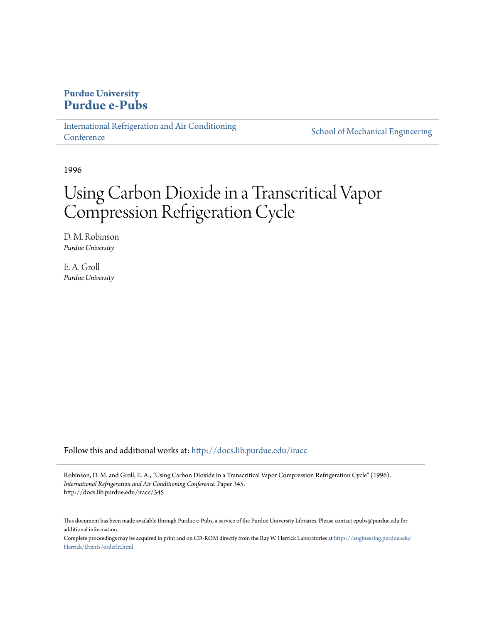# **Purdue University [Purdue e-Pubs](http://docs.lib.purdue.edu?utm_source=docs.lib.purdue.edu%2Firacc%2F345&utm_medium=PDF&utm_campaign=PDFCoverPages)**

[International Refrigeration and Air Conditioning](http://docs.lib.purdue.edu/iracc?utm_source=docs.lib.purdue.edu%2Firacc%2F345&utm_medium=PDF&utm_campaign=PDFCoverPages) **[Conference](http://docs.lib.purdue.edu/iracc?utm_source=docs.lib.purdue.edu%2Firacc%2F345&utm_medium=PDF&utm_campaign=PDFCoverPages)** 

[School of Mechanical Engineering](http://docs.lib.purdue.edu/me?utm_source=docs.lib.purdue.edu%2Firacc%2F345&utm_medium=PDF&utm_campaign=PDFCoverPages)

1996

# Using Carbon Dioxide in a Transcritical Vapor Compression Refrigeration Cycle

D. M. Robinson *Purdue University*

E. A. Groll *Purdue University*

Follow this and additional works at: [http://docs.lib.purdue.edu/iracc](http://docs.lib.purdue.edu/iracc?utm_source=docs.lib.purdue.edu%2Firacc%2F345&utm_medium=PDF&utm_campaign=PDFCoverPages)

Robinson, D. M. and Groll, E. A., "Using Carbon Dioxide in a Transcritical Vapor Compression Refrigeration Cycle" (1996). *International Refrigeration and Air Conditioning Conference.* Paper 345. http://docs.lib.purdue.edu/iracc/345

This document has been made available through Purdue e-Pubs, a service of the Purdue University Libraries. Please contact epubs@purdue.edu for additional information.

Complete proceedings may be acquired in print and on CD-ROM directly from the Ray W. Herrick Laboratories at [https://engineering.purdue.edu/](https://engineering.purdue.edu/Herrick/Events/orderlit.html) [Herrick/Events/orderlit.html](https://engineering.purdue.edu/Herrick/Events/orderlit.html)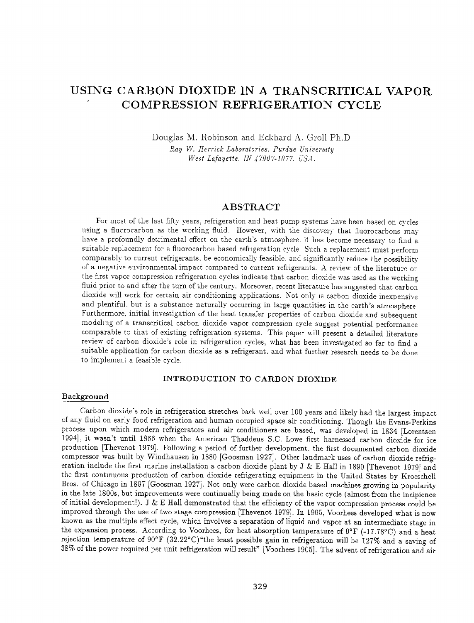# **USING CARBON DIOXIDE IN A TRANSCRITICAL VAPOR COMPRESSION REFRIGERATION CYCLE**

Douglas M. Robinson and Eckhard A. Groll Ph.D *Ray W. Herrick Laboratories. Purdue University* 

*West Lafayette. IN 17907-1077. USA..* 

# ABSTRACT

For most of the last fifty years, refrigeration and heat pump systems have been based on cycles using a fluorocarbon as the working fluid. However, with the discovery that fluorocarbons may have a profoundly detrimental effect on the earth's atmosphere, it has become necessary to find a suitable replacement for a fluorocarbon based refrigeration cycle. Such a replacement must perform comparably to current refrigerants, be economically feasible, and significantly reduce the possibility of a negative environmental impact compared to current refrigerants. A review of the literature on the first vapor compression refrigeration cycles indicate that carbon dioxide was used as the working fluid prior to and after the turn of the century. Moreover, recent literature has suggested that carbon dioxide will work for certain air conditioning applications. Not only is carbon dioxide inexpensive and plentiful, but is a substance naturally occurring in large quantities in the earth's atmosphere. Furthermore, initial investigation of the heat transfer properties of carbon dioxide and subsequent modeling of a transcritical carbon dioxide vapor compression cycle suggest potential performance comparable to that of existing refrigeration systems. This paper will present a detailed literature review of carbon dioxide's role in refrigeration cycles, what has been investigated so far to find a suitable application for carbon dioxide as a refrigerant. and what further research needs to be done to implement a feasible cycle.

## INTRODUCTION TO CARBON DIOXIDE

#### Background

Carbon dioxide's role in refrigeration stretches back well over 100 years and likely had the largest impact of any fluid on early food refrigeration and human occupied space air conditioning. Though the Evans-Perkins process upon which modern refrigerators and air conditioners are based, was developed in 1834 [Lorentzen 1994], it wasn't until 1866 when the American Thaddeus S.C. Lowe first harnessed carbon dioxide for ice production [Thevenot 1979]. Following a period of further development. the first documented carbon dioxide compressor was built by Windhausen in 1880 [Goosman 1927]. Other landmark uses of carbon dioxide refrigeration include the first marine installation a carbon dioxide plant by  $J & E$  Hall in 1890 [Thevenot 1979] and the first continuous production of carbon dioxide refrigerating equipment in the United States by Kroeschell Bros. of Chicago in 1897 [Goosman 1927]. Not only were carbon dioxide based machines growing in popularity in the late 1800s, but improvements were continually being made on the basic cycle (almost from the incipience of initial development!). J & E Hall demonstrated that the efficiency of the vapor compression process could be improved through the use of two stage compression [Thevenot 1979]. In 1905, Voorhees developed what is now known as the multiple effect cycle, which involves a separation of liquid and vapor at an intermediate stage in the expansion process. According to Voorhees, for heat absorption temperature of  $0^{\circ}$  F (-17.78°C) and a heat rejection temperature of 90°F (32.22°C) "the least possible gain in refrigeration will be 127% and a saving of 38% oft he power required per unit refrigeration will result" [Voorhees 1905]. The advent of refrigeration and air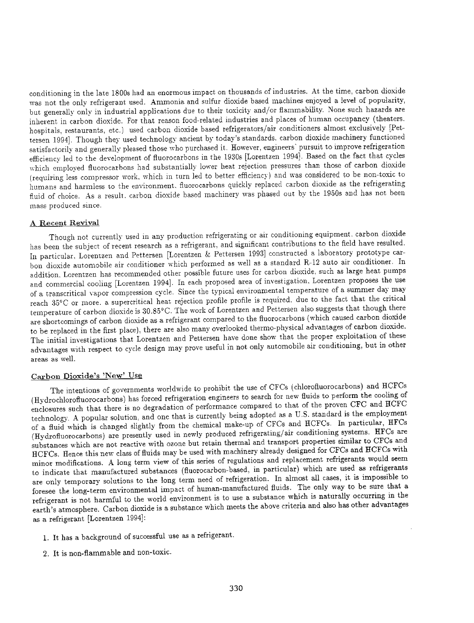conditioning in the late 1800s had an enormous impact on thousands of industries. At the time. carbon dioxide was not the only refrigerant used. Ammonia and sulfur dioxide based machines enjoyed a level of popularity, but generally only in industrial applications due to their toxicity and/or flammability. None such hazards are inherent in carbon dioxide. For that reason food-related industries and places of human occupancy (theaters. hospitals, restaurants, etc.) used carbon dioxide based refrigerators/air conditioners almost exclusively [Pettersen 1994]. Though they used technology ancient by today's standards. carbon dioxide machinery functioned satisfactorily and generally pleased those who purchased it. However, engineers' pursuit to improve refrigeration efficiency led to the development of fluorocarbons in the 1930s [Lorentzen 1994]. Based on the fact that cycles which employed fluorocarbons had substantially lower heat rejection pressures than those of carbon dioxide (requiring less compressor work, which in turn led to better efficiency) and was considered to be non-toxic to humans and harmless to the environment. fluorocarbons quickly replaced carbon dioxide as the refrigerating fluid of choice. As a result. carbon dioxide based machinery was phased out by the 1950s and has not been mass produced since.

## A Recent Revival

Though not currently used in any production refrigerating or air conditioning equipment. carbon dioxide has been the subject of recent research as a refrigerant, and significant contributions to the field have resulted. In particular. Lorentzen and Pettersen [Lorentzen & Pettersen 1993] constructed a laboratory prototype carbon dioxide automobile air conditioner which performed as well as a standard R-12 auto air conditioner. In addition. Lorentzen has recommended other possible future uses for carbon dioxide, such as large heat pumps and commercial cooling [Lorentzen 1994]. In each proposed area of investigation. Lorentzen proposes the use of a transcritical vapor compression cycle. Since the typical environmental temperature of a summer day may reach 35°C or more. a supercritical heat rejection profile profile is required. due to the fact that the critical temperature of carbon dioxide is 30.85°C. The work of Lorentzen and Pettersen also suggests that though there are shortcomings of carbon dioxide as a refrigerant compared to the fluorocarbons (which caused carbon dioxide to be replaced in the first place), there are also many overlooked thermo-physical advantages of carbon dioxide. The initial investigations that Lorentzen and Pettersen have done show that the proper exploitation of these adYantages with respect to cycle design may prove useful in not only automobile air conditioning, but in other areas as well.

## Carbon Dioxide's 'New' Use

The intentions of governments worldwide to prohibit the use of CFCs (chlorofluorocarbons) and HCFCs (Hydrochloroftuorocarbons) has forced refrigeration engineers to search for new fluids to perform the cooling of enclosures such that there is no degradation of performance compared to that of the proven CFC and HCFC technology. A popular solution, and one that is currently being adopted as a U.S. standard is the employment of a fluid which is changed slightly from the chemical make-up of CFCs and HCFCs. In particular, HFCs (Hyclrofluorocarbons) are presently used in newly produced refrigerating/ air conditioning systems. HFCs are substances which are not reactive with ozone but retain thermal and transport properties similar to CFCs and HCFCs. Hence this new class of fluids may be used with machinery already designed for CFCs and HCFCs with minor modifications. A long term view of this series of regulations and replacement refrigerants would seem to indicate that manufactured substances (fluorocarbon-based, in particular) which are used as refrigerants are only temporary solutions to the long term need of refrigeration. In almost all cases, it is impossible to foresee the long-term environmental impact of human-manufactured fluids. The only way to be sure that <sup>a</sup> refrigerant is not harmful to the world environment is to use a substance which is naturally occurring in the earth's atmosphere. Carbon dioxide is a substance which meets the above criteria and also has other advantages as a refrigerant [Lorentzen 1994):

- 1. It has a background of successful use as a refrigerant.
- 2. It is non-flammable and non-toxic.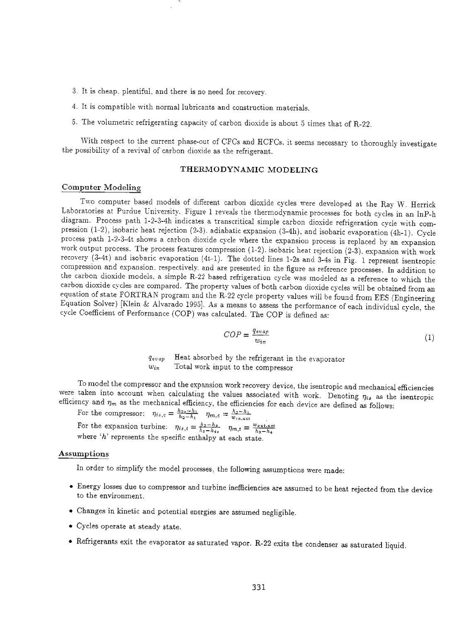- :3\_ It is cheap. plentiful, and there is no need for recovery\_
- 4. It is compatible with normal lubricants and construction materials.
- 5. The volumetric refrigerating capacity of carbon dioxide is about 5 times that of R-22.

With respect to the current phase-out of CFCs and HCFCs. it seems necessary to thoroughly investigate the possibility of a revival of carbon dioxide as the refrigerant.

# THERMODYNAMIC MODELING

#### Computer Modeling

Two computer based models of different carbon dioxide cycles were developed at the Ray W. Herrick Laboratories at Purdue University. Figure 1 reveals the thermodynamic processes for both cycles in an lnP-h diagram. Process path 1-2-3-4h indicates a transcritical simple carbon dioxide refrigeration cycle with compression (1-2), isobaric heat rejection (2-3). adiabatic expansion (3-4h), and isobaric evaporation (4h-1). Cycle process path l-2-3-4t shows a carbon dioxide cycle where the expansion process is replaced by an expansion work output process. The process features compression  $(1-2)$ . isobaric heat rejection  $(2-3)$ . expansion with work recovery  $(3-4t)$  and isobaric evaporation  $(4t-1)$ . The dotted lines 1-2s and 3-4s in Fig. 1 represent isentropic compression and expansion. respectively. and are presented in the figure as reference processes. In addition to the carbon dioxide models, a simple R-22 based refrigeration cycle was modeled as a reference to which the carbon dioxide cycles are compared. The property values of both carbon dioxide cycles will be obtained from an equation of state FORTRAN program and the R-22 cycle property values will be found from EES (Engineering Equation Solver) [Klein & Alvarado 1995]. As a means to assess the performance of each individual cycle, the cycle Coefficient of Performance (COP) was calculated. The COP is defined as:

$$
COP = \frac{q_{evap}}{w_{in}}\tag{1}
$$

*qevap* Heat absorbed by the refrigerant in the eyaporator *Win* Total work input to the compressor

To model the compressor and the expansion work recovery device, the isentropic and mechanical efficiencies were taken into account when calculating the values associated with work. Denoting  $\eta_{is}$  as the isentropic efficiency and  $\eta_m$  as the mechanical efficiency, the efficiencies for each device are defined as follows:

For the compressor:  $\eta_{is,c} = \frac{h_{2s} - h_1}{h_2 - h_1}$   $\eta_{m,c} = \frac{h_2 - h_1}{w_{in,act}}$ For the expansion turbine:  $\eta_{is,t} = \frac{h_3 - h_4}{h_3 - h_4s}$   $\eta_{m,t} = \frac{w_{out,act}}{h_3 - h_4}$ where *'h'* represents the specific enthalpy at each state.

#### Assumptions

In order to simplify the model processes, the following assumptions were made:

- Energy losses due to compressor and turbine inefficiencies are assumed to be heat rejected from the device to the environment.
- Changes in kinetic and potential energies are assumed negligible.
- Cycles operate at steady state.
- Refrigerants exit the evaporator as saturated vapor. R-22 exits the condenser as saturated liquid.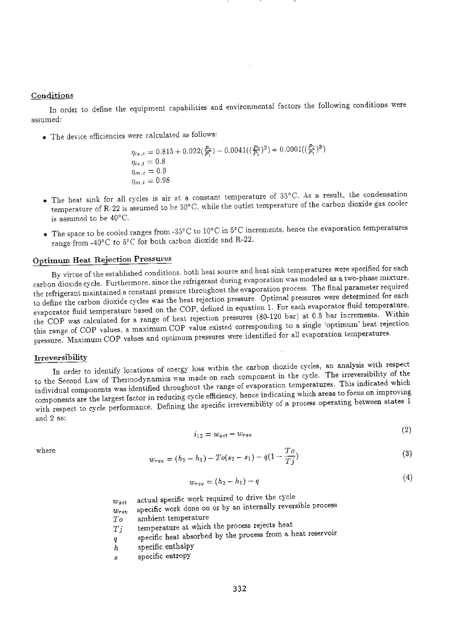# **Conditions**

In order to define the equipment capabilities and environmental factors the following conditions were assumed:

• The device efficiencies were calculated as follows:

$$
\eta_{is,c} = 0.815 + 0.022(\frac{P_2}{P_1}) - 0.0041((\frac{P_2}{P_1})^2) + 0.0001((\frac{P_2}{P_1})^3)
$$
  
\n
$$
\eta_{is,t} = 0.8
$$
  
\n
$$
\eta_{m,c} = 0.9
$$
  
\n
$$
\eta_{m,t} = 0.98
$$

- The heat sink for all cycles is air at a constant temperature of  $35^{\circ}$ C. As a result, the condensation temperature of R-22 is assumed to be  $50^{\circ}$ C, while the outlet temperature of the carbon dioxide gas cooler is assumed to be  $40^{\circ}$ C.
- The space to be cooled ranges from -35°C to 10°C in 5°C increments, hence the evaporation temperatures range from -40°C to 5°C for both carbon dioxide and R-22.

# Optimum Heat Rejection Pressures

By virtue of the established conditions, both heat source and heat sink temperatures were specified for each carbon dioxide cycle. Furthermore, since the refrigerant during evaporation was modeled as a two-phase mixture, the refrigerant maintained a constant pressure throughout the evaporation process. The final parameter required to define the carbon dioxide cycles was the heat rejection pressure. Optimal pressures were determined for each evaporator fluid temperature based on the COP, defined in equation 1. For each evaporator fluid temperature, the COP was calculated for a range of heat rejection pressures (80-120 bar) at 0.5 bar increments. 'Within this range of COP values, a maximum COP value existed corresponding to a single 'optimum' heat rejection pressure. Maximum COP values and optimum pressures were identified for all evaporation temperatures.

# Irreversibility

In order to identify locations of energy loss within the carbon dioxide cycles, an analysis with respec<sup>t</sup> to the Second Law of Thermodynamics was made on each component in the cycle. The irreversibility of the individual components was identified throughout the range of evaporation temperatures. This indicated \vhich components are the largest factor in reducing cycle efficiency, hence indicating which areas to focus on improving with respect to cycle performance. Defining the specific irreversibility of a process operating between states 1 and 2 as:

$$
i_{12} = w_{act} - w_{rev} \tag{2}
$$

 $(0)$ 

 $(4)$ 

where 
$$
w_{rev} = (h_2 - h_1) - To(s_2 - s_1) - q(1 - \frac{To}{Tj})
$$
 (3)

$$
w_{rev} = (h_2 - h_1) - q \tag{4}
$$

- *Wact* actual specific work required to drive the cycle
- $w_{ren}$  specific work done on or by an internally reversible process
- *To* ambient temperature
- $Tj$  temperature at which the process rejects heat
- q specific heat absorbed by the process from a heat reservoir
- *h* specific enthalpy
- s specific entropy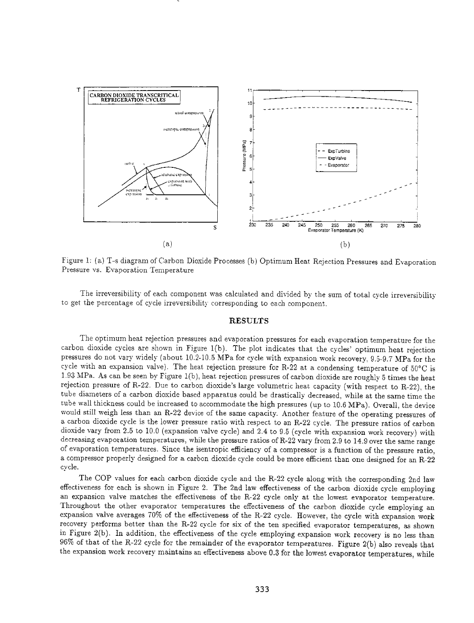

Figure 1: (a) T-s diagram of Carbon Dioxide Processes (b) Optimum Heat Rejection Pressures and Evaporation Pressure vs. Evaporation Temperature

The irreversibility of each component was calculated and divided by the sum of total cycle irreversibility to get the percentage of cycle irreversibility corresponding to each component.

#### **RESULTS**

The optimum heat rejection pressures and evaporation pressures for each evaporation temperature for the carbon dioxide cycles are shown in Figure l(b). The plot indicates that the cycles' optimum heat rejection pressures do not vary widely (about 10.2-10.5 MPa for cycle with expansion work recovery, 9.5-9.7 MPa for the cycle with an expansion valve). The heat rejection pressure for R-22 at a condensing temperature of 50°C is 1.93 MPa. As can be seen by Figure l(b ), heat rejection pressures of carbon dioxide are roughly 5 times the heat rejection pressure of R-22. Due to carbon dioxide's large volumetric heat capacity (with respect to R-22), the tube diameters of a carbon dioxide based apparatus could be drastically decreased, while at the same time the tube wall thickness could be increased to accommodate the high pressures (up to 10.6 MPa). Overall, the device would still weigh less than an R-22 device of the same capacity. Another feature of the operating pressures of a carbon dioxide cycle is the lower pressure ratio with respect to an R-22 cycle. The pressure ratios of carbon dioxide vary from 2.5 to 10.0 (expansion valve cycle) and 2.4 to 9.5 (cycle with expansion work recovery) with decreasing evaporation temperatures, while the pressure ratios ofR-22 vary from 2.9 to 14.9 over the same range of evaporation temperatures. Since the isentropic efficiency of a compressor is a function of the pressure ratio, a compressor properly designed for a carbon dioxide cycle could be more efficient than one designed for an R-22 cycle.

The COP values for each carbon dioxide cycle and the R-22 cycle along with the corresponding 2nd law effectiveness for each is shown in Figure 2. The 2nd law effectiveness of the carbon dioxide cycle employing an expansion valve matches the effectiveness of the R-22 cycle only at the lowest evaporator temperature. Throughout the other evaporator temperatures the effectiveness of the carbon dioxide cycle employing an expansion valve averages 70% of the effectiveness of the R-22 cycle. However, the cycle with expansion work recovery performs better than the R-22 cycle for six of the ten specified evaporator temperatures, as shown in Figure 2(b). In addition, the effectiveness of the cycle employing expansion work recovery is no less than 96% of that of the R-22 cycle for the remainder of the evaporator temperatures. Figure 2(b) also reveals that the expansion work recovery maintains an effectiveness above 0.3 for the lowest evaporator temperatures, while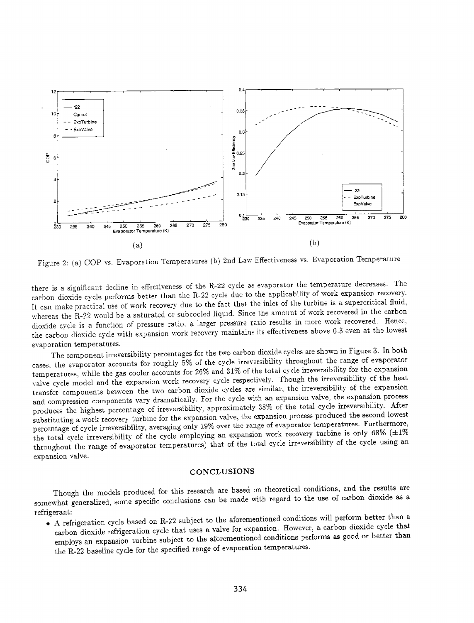

Figure 2: (a) COP vs. Evaporation Temperatures (b) 2nd Law Effectiveness vs. Evaporation Temperature

there is a significant decline in effectiveness of the R-22 cycle as evaporator the temperature decreases. The carbon dioxide cycle performs better than the R-22 cycle due to the applicability of work expansion recovery. It can make practical use of work recovery due to the fact that the inlet of the turbine is a supercritical fluid, whereas the R-22 would be a saturated or subcooled liquid. Since the amount of work recovered in the carbon dioxide cycle is a function of pressure ratio. a larger pressure ratio results in more work recovered. Hence, the carbon dioxide cycle with expansion work recovery maintains its effectiveness above 0.3 even at the lowest evaporation temperatures.

The component irreversibility percentages for the two carbon dioxide cycles are shown in Figure 3. In both cases, the evaporator accounts for roughly 5% of the cycle irreversibility throughout the range of evaporator temperatures, while the gas cooler accounts for 26% and 31% of the total cycle irreversibility for the expansion valve cycle model and the expansion work recovery cycle respectively. Though the irreversibility of the heat transfer components between the two carbon dioxide cycles are similar, the irreversibility of the expansion and compression components vary dramatically. For the cycle with an expansion valve, the expansion process produces the highest percentage of irreversibility, approximately 38% of the total cycle irreversibility. After substituting a work recovery turbine for the expansion valve, the expansion process produced the second lowest percentage of cycle irreversibility, averaging only 19% over the range of evaporator temperatures. Furthermore, the total cycle irreversibility of the cycle employing an expansion work recovery turbine is only 68% ( $\pm 1\%$ throughout the range of evaporator temperatures) that of the total cycle irreversibility of the cycle using an expansion valve.

#### **CONCLUSIONS**

Though the models produced for this research are based on theoretical conditions, and the results are somewhat generalized, some specific conclusions can be made with regard to the use of carbon dioxide as a refrigerant:

• A refrigeration cycle based on R-22 subject to the aforementioned conditions will perform better than <sup>a</sup> carbon dioxide refrigeration cycle that uses a valve for expansion. However, a carbon dioxide cycle that employs an expansion turbine subject to the aforementioned conditions performs as good or better than the R-22 baseline cycle for the specified range of evaporation temperatures.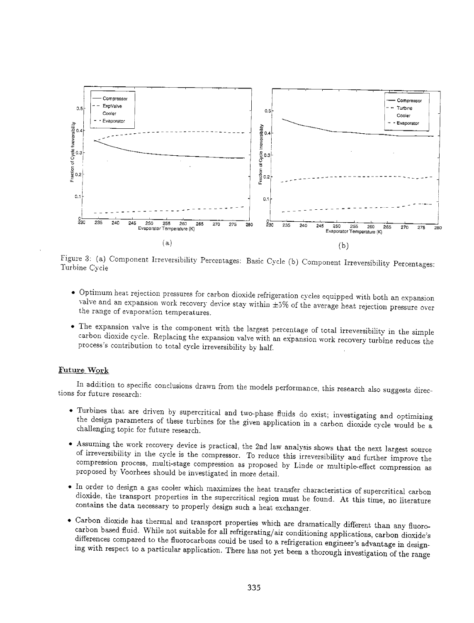

Figure 3: (a) Component Irreversibility Percentages: Basic Cycle (b) Component Irreversibility Percentages: Turbine Cycle

- Optimum heat rejection pressures for carbon dioxide refrigeration cycles equipped with both an expansion valve and an expansion work recovery device stay within  $\pm 5\%$  of the average heat rejection pressure over the range of evaporation temperatures.
- The expansion valve is the component with the largest percentage of wtal irreversibility in the simple carbon dioxide cycle. Replacing the expansion valve with an expansion work recovery turbine reduces the process's contribution to total cycle irreversibility by half.

#### Future Work

In addition to specific conclusions drawn from the models performance, this research also suggests directions for future research:

- Turbines that are driven by supercritical and two-phase fluids do exist; investigating and optimizing the design parameters of these turbines for the given application in a carbon dioxide cycle would be a challenging topic for future research.
- Assuming the work recovery device is practical, the 2nd law analysis shows that the next largest source of irreversibility in the cycle is the compressor. To reduce this irreversibility and further improve the compression process, multi-stage compression as proposed by Linde or multiple-effect compression as proposed by Voorhees should be investigated in more detail.
- In order to design a gas cooler which maximizes the heat transfer characteristics of supercritical carbon dioxide, the transport properties in the supercritical region must be found. At this time, no literature contains the data necessary to properly design such a heat exchanger.
- Carbon dioxide has thermal and transport properties which are dramatically different than any fluorocarbon based fluid. While not suitable for all refrigerating/air conditioning applications, carbon dioxide's differences compared to the fluorocarbons could be used to a refrigeration engineer's advantage in designing with respect to a particular application. There has not yet been a thorough investigation of the range